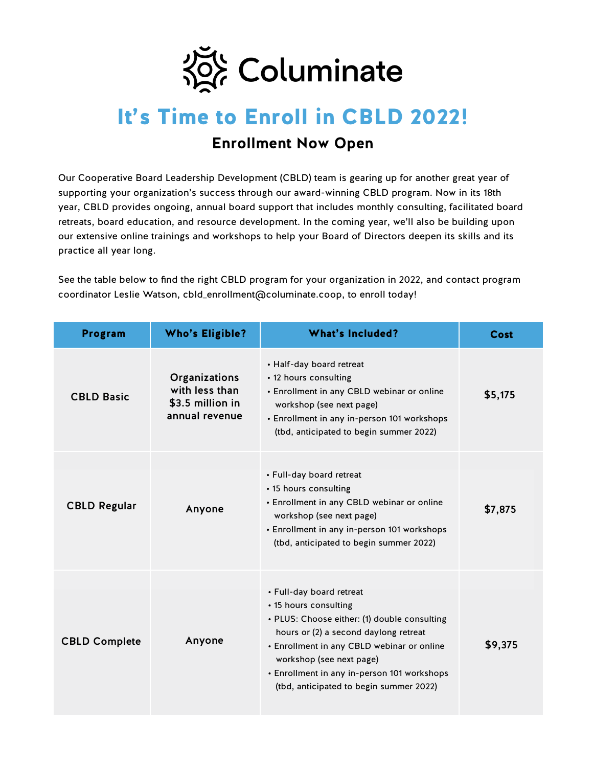

## It's Time to Enroll in CBLD 2022! **Enrollment Now Open**

Our Cooperative Board Leadership Development (CBLD) team is gearing up for another great year of supporting your organization's success through our award-winning CBLD program. Now in its 18th year, CBLD provides ongoing, annual board support that includes monthly consulting, facilitated board retreats, board education, and resource development. In the coming year, we'll also be building upon our extensive online trainings and workshops to help your Board of Directors deepen its skills and its practice all year long.

See the table below to find the right CBLD program for your organization in 2022, and contact program coordinator Leslie Watson, cbld\_enrollment@columinate.coop, to enroll today!

| <b>Program</b>       | <b>Who's Eligible?</b>                                                | <b>What's Included?</b>                                                                                                                                                                                                                                                                                        | Cost    |
|----------------------|-----------------------------------------------------------------------|----------------------------------------------------------------------------------------------------------------------------------------------------------------------------------------------------------------------------------------------------------------------------------------------------------------|---------|
| <b>CBLD Basic</b>    | Organizations<br>with less than<br>\$3.5 million in<br>annual revenue | • Half-day board retreat<br>• 12 hours consulting<br>• Enrollment in any CBLD webinar or online<br>workshop (see next page)<br>• Enrollment in any in-person 101 workshops<br>(tbd, anticipated to begin summer 2022)                                                                                          | \$5,175 |
| <b>CBLD Regular</b>  | Anyone                                                                | • Full-day board retreat<br>• 15 hours consulting<br>• Enrollment in any CBLD webinar or online<br>workshop (see next page)<br>• Enrollment in any in-person 101 workshops<br>(tbd, anticipated to begin summer 2022)                                                                                          | \$7,875 |
| <b>CBLD Complete</b> | Anyone                                                                | • Full-day board retreat<br>• 15 hours consulting<br>• PLUS: Choose either: (1) double consulting<br>hours or (2) a second daylong retreat<br>• Enrollment in any CBLD webinar or online<br>workshop (see next page)<br>• Enrollment in any in-person 101 workshops<br>(tbd, anticipated to begin summer 2022) | \$9,375 |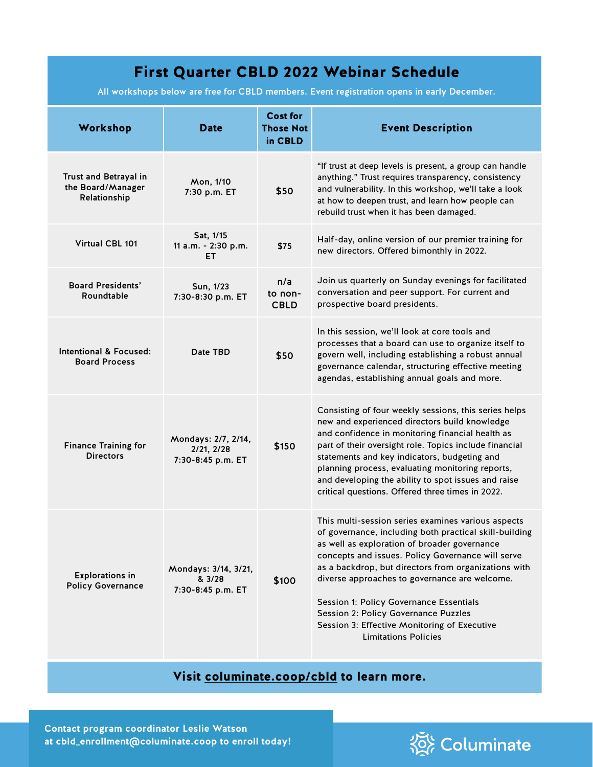## First Quarter CBLD 2022 Webinar Schedule

All workshops below are free for CBLD members. Event registration opens in early December.

| Workshop                                                   | <b>Date</b>                                            | <b>Cost for</b><br><b>Those Not</b><br>in CBLD | <b>Event Description</b>                                                                                                                                                                                                                                                                                                                                                                                                                                                                     |
|------------------------------------------------------------|--------------------------------------------------------|------------------------------------------------|----------------------------------------------------------------------------------------------------------------------------------------------------------------------------------------------------------------------------------------------------------------------------------------------------------------------------------------------------------------------------------------------------------------------------------------------------------------------------------------------|
| Trust and Betrayal in<br>the Board/Manager<br>Relationship | Mon, 1/10<br>7:30 p.m. ET                              | \$50                                           | "If trust at deep levels is present, a group can handle<br>anything." Trust requires transparency, consistency<br>and vulnerability. In this workshop, we'll take a look<br>at how to deepen trust, and learn how people can<br>rebuild trust when it has been damaged.                                                                                                                                                                                                                      |
| Virtual CBL 101                                            | Sat, 1/15<br>11 a.m. - 2:30 p.m.<br>EТ                 | \$75                                           | Half-day, online version of our premier training for<br>new directors. Offered bimonthly in 2022.                                                                                                                                                                                                                                                                                                                                                                                            |
| <b>Board Presidents'</b><br>Roundtable                     | Sun, 1/23<br>7:30-8:30 p.m. ET                         | n/a<br>to non-<br><b>CBLD</b>                  | Join us quarterly on Sunday evenings for facilitated<br>conversation and peer support. For current and<br>prospective board presidents.                                                                                                                                                                                                                                                                                                                                                      |
| Intentional & Focused:<br><b>Board Process</b>             | Date TBD                                               | \$50                                           | In this session, we'll look at core tools and<br>processes that a board can use to organize itself to<br>govern well, including establishing a robust annual<br>governance calendar, structuring effective meeting<br>agendas, establishing annual goals and more.                                                                                                                                                                                                                           |
| <b>Finance Training for</b><br><b>Directors</b>            | Mondays: 2/7, 2/14,<br>2/21, 2/28<br>7:30-8:45 p.m. ET | \$150                                          | Consisting of four weekly sessions, this series helps<br>new and experienced directors build knowledge<br>and confidence in monitoring financial health as<br>part of their oversight role. Topics include financial<br>statements and key indicators, budgeting and<br>planning process, evaluating monitoring reports,<br>and developing the ability to spot issues and raise<br>critical questions. Offered three times in 2022.                                                          |
| <b>Explorations in</b><br><b>Policy Governance</b>         | Mondays: 3/14, 3/21,<br>& 3/28<br>7:30-8:45 p.m. ET    | \$100                                          | This multi-session series examines various aspects<br>of governance, including both practical skill-building<br>as well as exploration of broader governance<br>concepts and issues. Policy Governance will serve<br>as a backdrop, but directors from organizations with<br>diverse approaches to governance are welcome.<br>Session 1: Policy Governance Essentials<br>Session 2: Policy Governance Puzzles<br>Session 3: Effective Monitoring of Executive<br><b>Limitations Policies</b> |

## Visit [columinate.coop/cbld](https://www.columinate.coop/cbld) to learn more.

**Contact program coordinator Leslie Watson at cbld\_enrollment@columinate.coop to enroll today!**